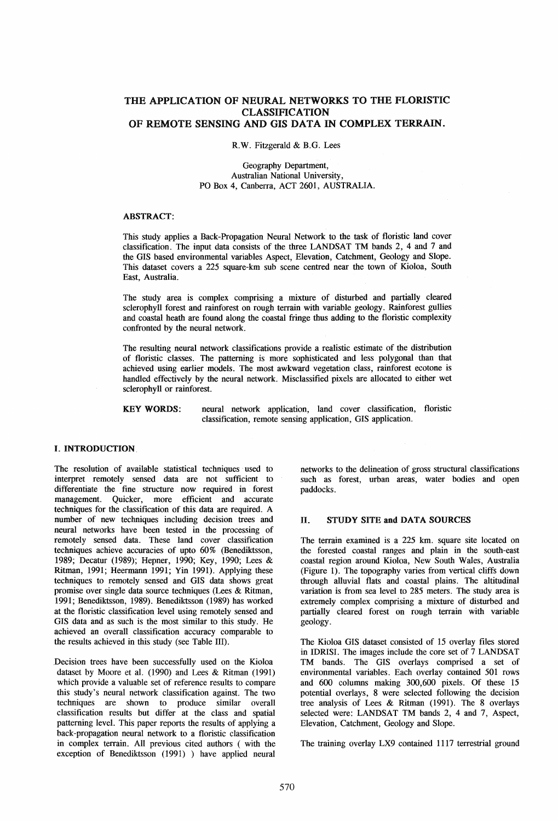# THE APPLICATION OF NEURAL NETWORKS TO THE FLORISTIC CLASSIFICATION OF REMOTE SENSING AND GIS DATA IN COMPLEX TERRAIN.

R.W. Fitzgerald & B.G. Lees

Geography Department, Australian National University, PO Box 4, Canberra, ACT 2601, AUSTRALIA.

#### ABSTRACT:

This study applies a Back-Propagation Neural Network to the task of floristic land cover classification. The input data consists of the three LANDSAT TM bands 2, 4 and 7 and the GIS based environmental variables Aspect, Elevation, Catchment, Geology and Slope. This dataset covers a 225 square-km sub scene centred near the town of Kioloa, South East, Australia.

The study area is complex comprising a mixture of disturbed and partially cleared sclerophyll forest and rainforest on rough terrain with variable geology. Rainforest gullies and coastal heath are found along the coastal fringe thus adding to the floristic complexity confronted by the neural network.

The resulting neural network classifications provide a realistic estimate of the distribution of floristic classes. The patterning is more sophisticated and less polygonal than that achieved using earlier models. The most awkward vegetation class, rainforest ecotone is handled effectively by the neural network. Misclassified pixels are allocated to either wet sclerophyll or rainforest.

KEYWORDS: neural network application, land cover classification, floristic classification, remote sensing application, GIS application.

## L INTRODUCTION.

The resolution of available statistical techniques used to interpret remotely sensed data are not sufficient to differentiate the fine structure now required in forest management. Quicker, more efficient and accurate techniques for the classification of this data are required. A number of new techniques including decision trees and neural networks have been tested in the processing of remotely sensed data. These land cover classification techniques achieve accuracies of upto 60% (Benediktsson, 1989; Decatur (1989); Hepner, 1990; Key, 1990; Lees & Ritman, 1991; Heermann 1991; Yin 1991). Applying these techniques to remotely sensed and GIS data shows great promise over single data source techniques (Lees & Ritman, 1991; Benediktsson, 1989). Benediktsson (1989) has worked at the floristic classification level using remotely sensed and GIS data and as such is the most similar to this study. He achieved an overall classification accuracy comparable to the results achieved in this study (see Table III).

Decision trees have been successfully used on the Kioloa dataset by Moore et al. (1990) and Lees & Ritman (1991) which provide a valuable set of reference results to compare this study's neural network classification against. The two techniques are shown to produce similar overall classification results but differ at the class and spatial patterning level. This paper reports the results of applying a back-propagation neural network to a floristic classification in complex terrain. All previous cited authors ( with the exception of Benediktsson (1991) ) have applied neural

networks to the delineation of gross structural classifications such as forest, urban areas, water bodies and open paddocks.

#### II. STUDY SITE and DATA SOURCES

The terrain examined is a 225 km. square site located on the forested coastal ranges and plain in the south-east coastal region around Kioloa, New South Wales, Australia (Figure 1). The topography varies from vertical cliffs down through alluvial flats and coastal plains. The altitudinal variation is from sea level to 285 meters. The study area is extremely complex comprising a mixture of disturbed and partially cleared forest on rough terrain with variable geology.

The Kioloa GIS dataset consisted of 15 overlay files stored in IDRISI. The images include the core set of 7 LANDSAT TM bands. The GIS overlays comprised a set of environmental variables. Each overlay contained 501 rows and 600 colunms making 300,600 pixels. Of these 15 potential overlays, 8 were selected following the decision tree analysis of Lees & Ritman (1991). The 8 overlays selected were: LANDSAT TM bands 2, 4 and 7, Aspect, Elevation, Catchment, Geology and Slope.

The training overlay LX9 contained 1117 terrestrial ground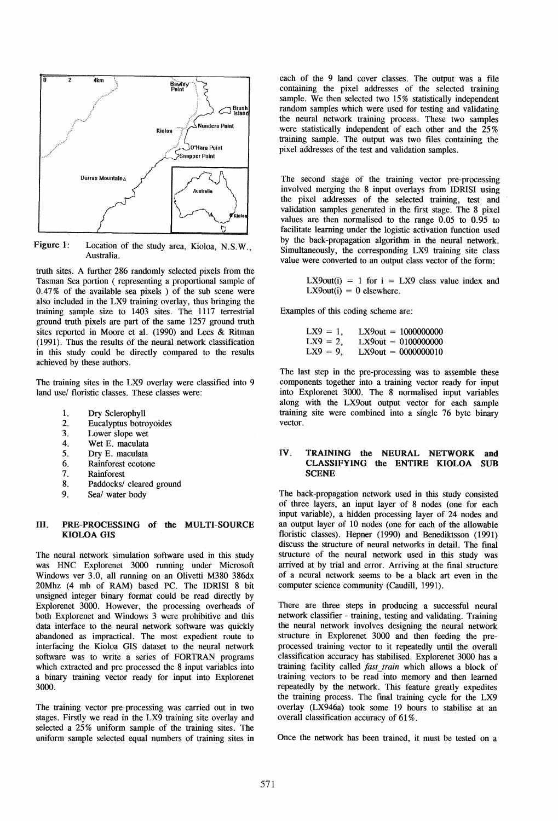

Figure 1: Location of the study area, Kioloa, N.S.W., Australia.

truth sites. A further 286 randomly selected pixels from the Tasman Sea portion ( representing a proportional sample of 0.47% of the available sea pixels) of the sub scene were also included in the LX9 training overlay, thus bringing the training sample size to 1403 sites. The 1117 terrestrial ground truth pixels are part of the same 1257 ground truth sites reported in Moore et a1. (1990) and Lees & Ritman (1991). Thus the results of the neural network classification in this study could be directly compared to the results achieved by these authors.

The training sites in the LX9 overlay were classified into 9 land use/ floristic classes. These classes were:

- I. Dry Sclerophyll
- 2. Eucalyptus botroyoides<br>3. Lower slope wet
- Lower slope wet
- 4. Wet E. maculata
- 5. Dry E. maculata
- 6. Rainforest ecotone
- 7. Rainforest
- 8. Paddocks/ cleared ground
- 9. Seal water body

#### III. PRE-PROCESSING of the MULTI-SOURCE KlOLOA GIS

The neural network simulation software used in this study was HNC Explorenet 3000 running under Microsoft Windows ver 3.0, all running on an Olivetti M380 386dx 20Mhz (4 mb of RAM) based pc. The IDRISI 8 bit unsigned integer binary format could be read directly by Explorenet 3000. However, the processing overheads of both Explorenet and Windows 3 were prohibitive and this data interface to the neural network software was quickly abandoned as impractical. The most expedient route to interfacing the Kioloa GIS dataset to the neural network software was to write a series of FORTRAN programs which extracted and pre processed the 8 input variables into a binary training vector ready for input into Explorenet 3000.

The training vector pre-processing was carried out in two stages. Firstly we read in the LX9 training site overlay and selected a 25% uniform sample of the training sites. The uniform sample selected equal numbers of training sites in each of the 9 land cover classes. The output was a file containing the pixel addresses of the selected training sample. We then selected two 15% statistically independent random samples which were used for testing and validating the neural network training process. These two samples were statistically independent of each other and the 25 % training sample. The output was two files containing the pixel addresses of the test and validation samples.

The second stage of the training vector pre-processing involved merging the 8 input overlays from IDRISI using the pixel addresses of the selected training, test and validation samples generated in the first stage. The 8 pixel values are then normalised to the range 0.05 to 0.95 to facilitate learning under the logistic activation function used by the back-propagation algorithm in the neural network. Simultaneously, the corresponding LX9 training site class value were converted to an output class vector of the form:

> LX9 $out(i) = 1$  for  $i = LX9$  class value index and  $LX9out(i) = 0$  elsewhere.

Examples of this coding scheme are:

 $LX9 = 1$ ,  $LX9 = 2$ ,  $LX9 = 9$ , LX90ut = 1000000000 LX90ut = 0100000000 LX90ut = 0000000010

The last step in the pre-processing was to assemble these components together into a training vector ready for input into Explorenet 3000. The 8 normalised input variables along with the LX90ut output vector for each sample training site were combined into a single 76 byte binary vector.

#### IV. TRAINING the NEURAL NETWORK and CLASSIFYING the ENTIRE KlOLOA SUB **SCENE**

The back-propagation network used in this study consisted of three layers, an input layer of 8 nodes (one for each input variable), a hidden processing layer of 24 nodes and an output layer of 10 nodes (one for each of the allowable floristic classes). Hepner (1990) and Benediktsson (1991) discuss the structure of neural networks in detail. The final structure of the neural network used in this study was arrived at by trial and error. Arriving at the fmal structure of a neural network seems to be a black art even in the computer science community (Caudill, 1991).

There are three steps in producing a successful neural network classifier - training, testing and validating. Training the neural network involves designing the neural network structure in Explorenet 3000 and then feeding the preprocessed training vector to it repeatedly until the overall classification accuracy has stabilised. Explorenet 3000 has a training facility called *fast \_train* which allows a block of training vectors to be read into memory and then learned repeatedly by the network. This feature greatly expedites the training process. The final training cycle for the LX9 overlay (LX946a) took some 19 hours to stabilise at an overall classification accuracy of 61 %.

Once the network has been trained, it must be tested on a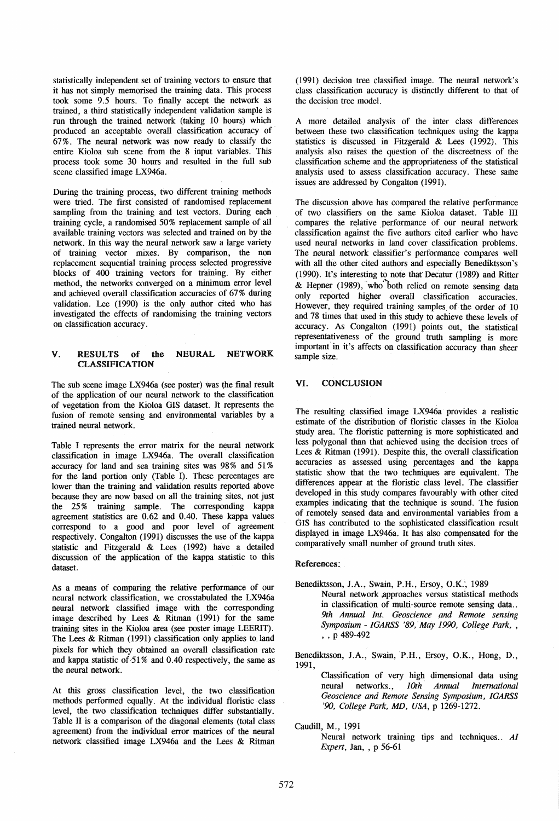statistically independent set of training vectors to ensure that it has not simply memorised the training data. This process took some 9.5 hours. To finally accept the network as trained, a third statistically independent validation sample is run through the trained network (taking 10 hours) which produced an acceptable overall classification accuracy of 67 %. The neural network was now ready to classify the entire Kioloa sub scene from the 8 input variables. This process took some 30 hours and resulted in the full sub scene classified image LX946a.

During the training process, two different training methods were tried. The first consisted of randomised replacement sampling from the training and test vectors. During each training cycle, a randomised 50% replacement sample of all available training vectors was selected and trained on by the network. In this way the neural network saw a large variety of training vector mixes. By comparison, the non replacement sequential training process selected progressive blocks of 400 training vectors for training. By either method, the networks converged on a minimum error level and achieved overall classification accuracies of 67% during validation. Lee (1990) is the only author cited who has investigated the effects of randomising the training vectors on classification accuracy.

## V. RESULTS of the NEURAL NETWORK CLASSIFICATION

The sub scene image LX946a ( see poster) was the final result of the application of our neural network to the classification of vegetation from the Kioloa GIS dataset. It represents the fusion of remote sensing and environmental variables by a trained neural network.

Table I represents the error matrix for the neural network classification in image LX946a. The overall classification accuracy for land and sea training sites was 98% and 51% for the land portion only (Table I). These percentages are lower than the training and validation results reported above because they are now based on all the training sites, not just the 25% training sample. The corresponding kappa agreement statistics are 0.62 and 0.40. These kappa values correspond to a good and poor level of agreement respectively. Congalton (1991) discusses the use of the kappa statistic and Fitzgerald & Lees (1992) have a detailed discussion of the application of the kappa statistic to this dataset.

As a means of comparing the relative performance of our neural network classification, we crosstabulated the LX946a neural network classified image with the corresponding image described by Lees & Ritman (1991) for the same training sites in the Kioloa area (see poster image LEERIT). The Lees & Ritman (1991) classification only applies to. land pixels for which they obtained an overall classification rate and kappa statistic of  $51\%$  and 0.40 respectively, the same as the neural network.

At this gross classification level, the two classification methods performed equally. At the individual floristic class level, the two classification techniques differ substantially. Table II is a comparison of the diagonal elements (total class agreement) from the individual error matrices of the neural network classified image LX946a and the Lees & Ritman (1991) decision tree classified image. The neural network's class classification accuracy is distinctly different to that 'of the decision tree model.

A more detailed analysis of the inter class differences between these two classification techniques using the kappa statistics is discussed in Fitzgerald & Lees (1992). This analysis also raises the question of the discreetness of the classification scheme and the appropriateness of the statistical analysis used to assess classification accuracy. These same issues are addressed by Congalton (1991).

The discussion above has compared the relative performance of two classifiers on the same Kioloa dataset. Table III compares the relative performance of our neural network classification against the five authors cited earlier who have used neural networks in land cover classification problems. The neural network classifier's performance compares well with all the other cited authors and especially Benediktsson's (1990). It's interesting to note that Decatur (1989) and Ritter & Hepner (1989), who'both relied on remote sensing data only reported higher overall classification accuracies. However, they required training samples of the order of 10 and 78 times that used in this study to achieve these levels of accuracy. As Congalton (1991) points out, the statistical representativeness of the ground truth sampling is more important in it's affects on classification accuracy than sheer sample size.

## VI. CONCLUSION

The resulting classified image LX946a provides a realistic estimate of the distribution of floristic classes in the Kioloa study area. The floristic patterning is more sophisticated and less polygonal than that achieved using the decision trees of Lees & Ritman (1991). Despite this, the overall classification accuracies as assessed using percentages and the kappa statistic show that the two techniques are equivalent. The differences appear at the floristic class level. The classifier developed in this study compares favourably with other cited examples indicating that the technique is sound. The fusion of remotely sensed data and environmental variables from a GIS has contributed to the sophisticated classification result displayed in image LX946a. It has also compensated for the comparatively small number of ground truth sites.

## References: .

Benediktsson, J.A., Swain, P.H., Ersoy, O.K., 1989 Neural network .approaches versus statistical methods in classification of multi-source remote sensing data... 9th Annual Int. Geoscience and Remote sensing *Symposium* - *IGARSS '89,.May 1990, College Park, ,*   $, , p$  489-492

Benediktsson, J.A., Swain, P.H., Ersoy, O.K., Hong, D., 1991,

Classification of very high dimensional data using neural networks., *10th Annual International Geoscience and Remote Sensing Symposium, IGARSS '90, College Park, MD, USA,* P 1269-1272.

Caudill, M., 1991

Neural network training tips and techniques.. AI *Expert,* Jan, , p 56-61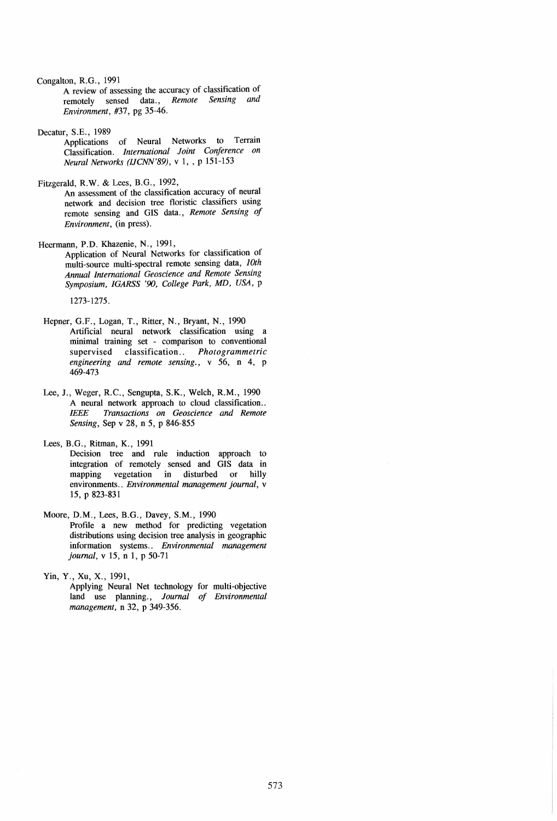Congalton, R.G., 1991

A review of assessing the accuracy of classification of remotely sensed data., *Remote Sensing and Environment,* #37, pg 35-46.

Decatur, S.E., 1989

Applications of Neural Networks to Terrain Classification. *International Joint Conference on Neural Networks (IJCNN'89),* v 1, , P 151-153

Fitzgerald, R.W. & Lees, B.G., 1992,

An assessment of the classification accuracy of neural network and decision tree floristic classifiers using remote sensing and GIS data., *Remote Sensing of Environment,* (in press).

Heermann, P.D. Khazenie, N., 1991,

Application of Neural Networks for classification of multi-source mUlti-spectral remote sensing data, *10th Annual International Geoscience and Remote Sensing Symposium,IGARSS '90, College Park, MD, USA,* P

1273-1275.

- Hepner, G.F., Logan, T., Ritter, N., Bryant, N., 1990 Artificial neural network classification using a minimal training set - comparison to conventional supervised classification.. *Photogrammetric engineering and remote sensing.,* v 56, n 4, p 469-473
- Lee, J., Weger, R.C., Sengupta, S.K., Welch, R.M., 1990 A neural network approach to cloud classification... *IEEE Transactions on Geoscience and Remote Sensing,* Sep v 28, n 5, p 846-855
- Lees, B.G., Ritman, K., 1991
	- Decision tree and rule induction approach to integration of remotely sensed and GIS data in mapping vegetation in disturbed or hilly environments .. *Environmental management journal,* v 15, p 823-831

Moore, D.M., Lees, B.G., Davey, S.M., 1990

Profile a new method for predicting vegetation distributions using decision tree analysis in geographic information systems.. *Environmental management journal,* v 15, n 1, p 50-71

Yin, Y., Xu, X., 1991, Applying Neural Net technology for multi-objective land use planning., *Journal of Environmental management,* n 32, p 349-356.